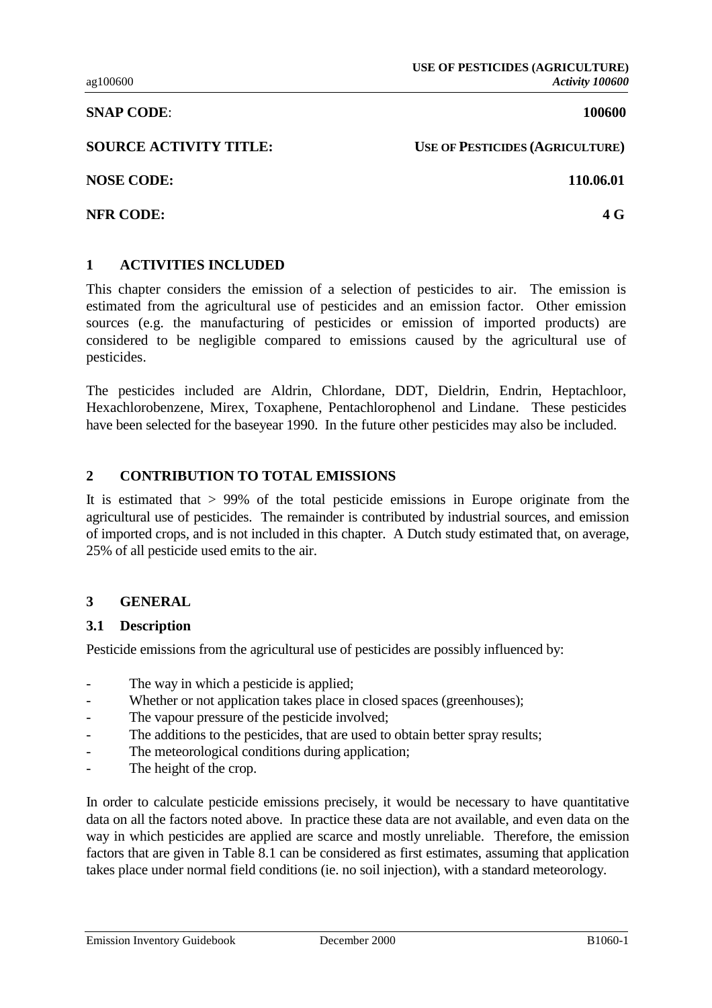**SNAP CODE**: **100600**

**SOURCE ACTIVITY TITLE:** USE OF PESTICIDES (AGRICULTURE)

**NOSE CODE: 110.06.01**

**NFR CODE: 4 G**

### **1 ACTIVITIES INCLUDED**

This chapter considers the emission of a selection of pesticides to air. The emission is estimated from the agricultural use of pesticides and an emission factor. Other emission sources (e.g. the manufacturing of pesticides or emission of imported products) are considered to be negligible compared to emissions caused by the agricultural use of pesticides.

The pesticides included are Aldrin, Chlordane, DDT, Dieldrin, Endrin, Heptachloor, Hexachlorobenzene, Mirex, Toxaphene, Pentachlorophenol and Lindane. These pesticides have been selected for the baseyear 1990. In the future other pesticides may also be included.

### **2 CONTRIBUTION TO TOTAL EMISSIONS**

It is estimated that > 99% of the total pesticide emissions in Europe originate from the agricultural use of pesticides. The remainder is contributed by industrial sources, and emission of imported crops, and is not included in this chapter. A Dutch study estimated that, on average, 25% of all pesticide used emits to the air.

### **3 GENERAL**

### **3.1 Description**

Pesticide emissions from the agricultural use of pesticides are possibly influenced by:

- The way in which a pesticide is applied;
- Whether or not application takes place in closed spaces (greenhouses);
- The vapour pressure of the pesticide involved;
- The additions to the pesticides, that are used to obtain better spray results;
- The meteorological conditions during application;
- The height of the crop.

In order to calculate pesticide emissions precisely, it would be necessary to have quantitative data on all the factors noted above. In practice these data are not available, and even data on the way in which pesticides are applied are scarce and mostly unreliable. Therefore, the emission factors that are given in Table 8.1 can be considered as first estimates, assuming that application takes place under normal field conditions (ie. no soil injection), with a standard meteorology.

Emission Inventory Guidebook December 2000 B1060-1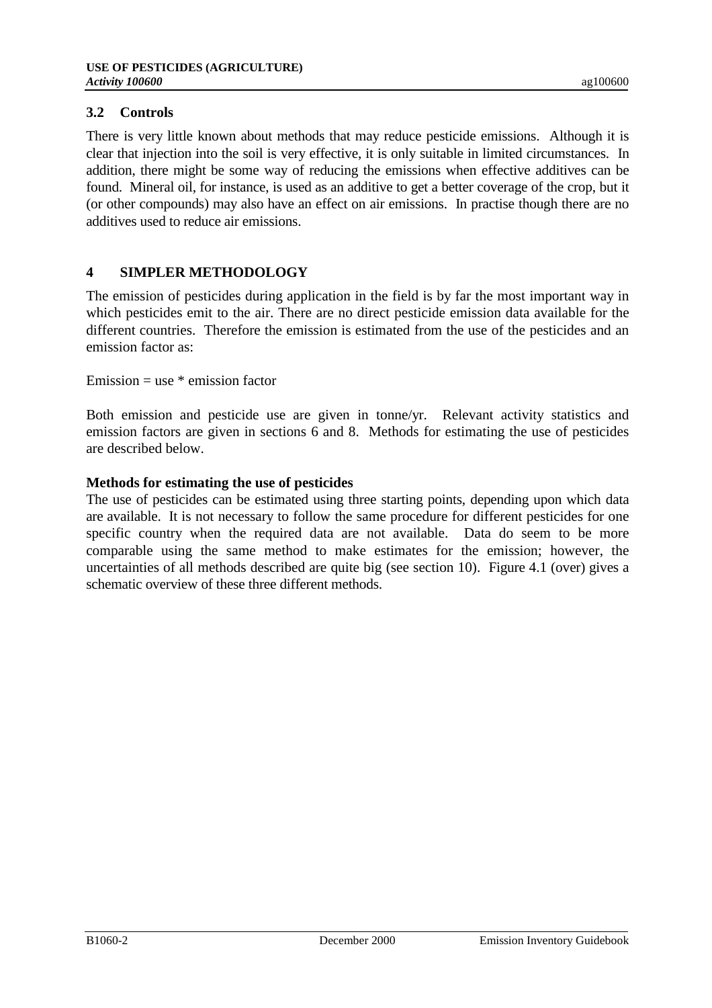### **3.2 Controls**

There is very little known about methods that may reduce pesticide emissions. Although it is clear that injection into the soil is very effective, it is only suitable in limited circumstances. In addition, there might be some way of reducing the emissions when effective additives can be found. Mineral oil, for instance, is used as an additive to get a better coverage of the crop, but it (or other compounds) may also have an effect on air emissions. In practise though there are no additives used to reduce air emissions.

## **4 SIMPLER METHODOLOGY**

The emission of pesticides during application in the field is by far the most important way in which pesticides emit to the air. There are no direct pesticide emission data available for the different countries. Therefore the emission is estimated from the use of the pesticides and an emission factor as:

Emission  $=$  use  $*$  emission factor

Both emission and pesticide use are given in tonne/yr. Relevant activity statistics and emission factors are given in sections 6 and 8. Methods for estimating the use of pesticides are described below.

### **Methods for estimating the use of pesticides**

The use of pesticides can be estimated using three starting points, depending upon which data are available. It is not necessary to follow the same procedure for different pesticides for one specific country when the required data are not available. Data do seem to be more comparable using the same method to make estimates for the emission; however, the uncertainties of all methods described are quite big (see section 10). Figure 4.1 (over) gives a schematic overview of these three different methods.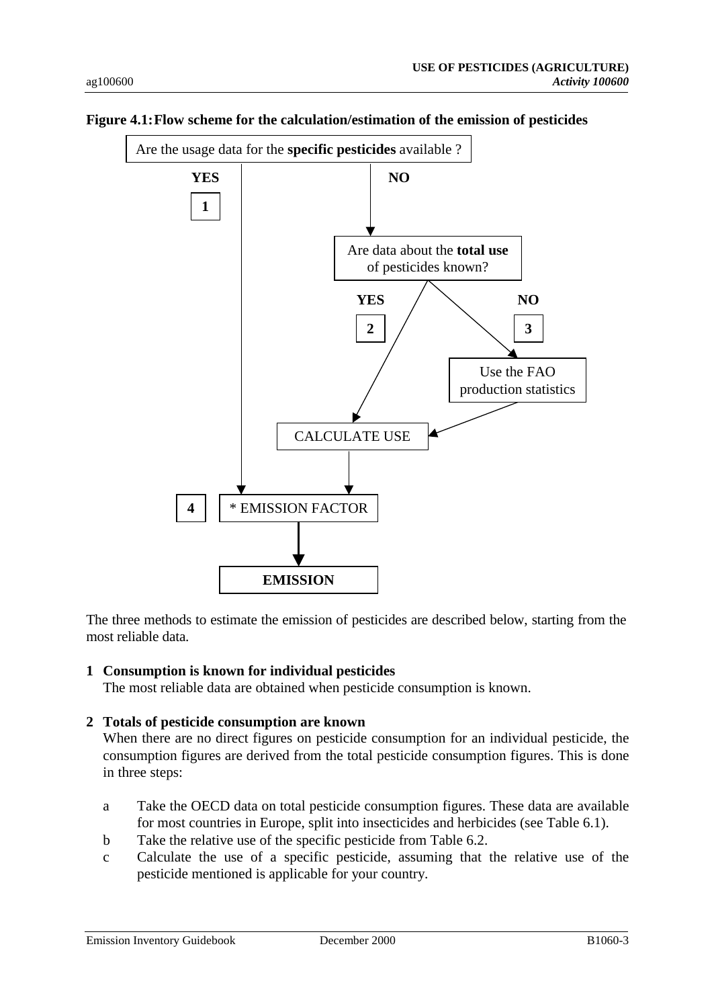

#### **Figure 4.1:Flow scheme for the calculation/estimation of the emission of pesticides**

The three methods to estimate the emission of pesticides are described below, starting from the most reliable data.

#### **1 Consumption is known for individual pesticides**

The most reliable data are obtained when pesticide consumption is known.

### **2 Totals of pesticide consumption are known**

When there are no direct figures on pesticide consumption for an individual pesticide, the consumption figures are derived from the total pesticide consumption figures. This is done in three steps:

- a Take the OECD data on total pesticide consumption figures. These data are available for most countries in Europe, split into insecticides and herbicides (see Table 6.1).
- b Take the relative use of the specific pesticide from Table 6.2.
- c Calculate the use of a specific pesticide, assuming that the relative use of the pesticide mentioned is applicable for your country.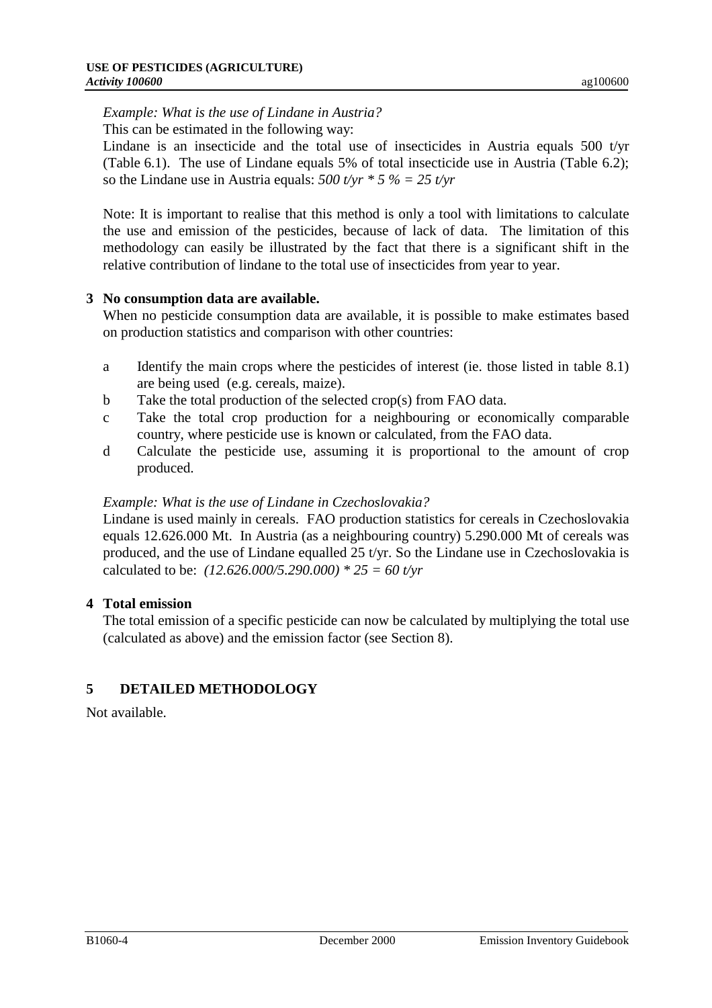### *Example: What is the use of Lindane in Austria?*

This can be estimated in the following way:

Lindane is an insecticide and the total use of insecticides in Austria equals 500 t/yr (Table 6.1). The use of Lindane equals 5% of total insecticide use in Austria (Table 6.2); so the Lindane use in Austria equals: *500 t/yr \* 5 % = 25 t/yr*

Note: It is important to realise that this method is only a tool with limitations to calculate the use and emission of the pesticides, because of lack of data. The limitation of this methodology can easily be illustrated by the fact that there is a significant shift in the relative contribution of lindane to the total use of insecticides from year to year.

### **3 No consumption data are available.**

When no pesticide consumption data are available, it is possible to make estimates based on production statistics and comparison with other countries:

- a Identify the main crops where the pesticides of interest (ie. those listed in table 8.1) are being used (e.g. cereals, maize).
- b Take the total production of the selected crop(s) from FAO data.
- c Take the total crop production for a neighbouring or economically comparable country, where pesticide use is known or calculated, from the FAO data.
- d Calculate the pesticide use, assuming it is proportional to the amount of crop produced.

### *Example: What is the use of Lindane in Czechoslovakia?*

Lindane is used mainly in cereals. FAO production statistics for cereals in Czechoslovakia equals 12.626.000 Mt. In Austria (as a neighbouring country) 5.290.000 Mt of cereals was produced, and the use of Lindane equalled 25 t/yr. So the Lindane use in Czechoslovakia is calculated to be: *(12.626.000/5.290.000) \* 25 = 60 t/yr*

## **4 Total emission**

The total emission of a specific pesticide can now be calculated by multiplying the total use (calculated as above) and the emission factor (see Section 8).

# **5 DETAILED METHODOLOGY**

Not available.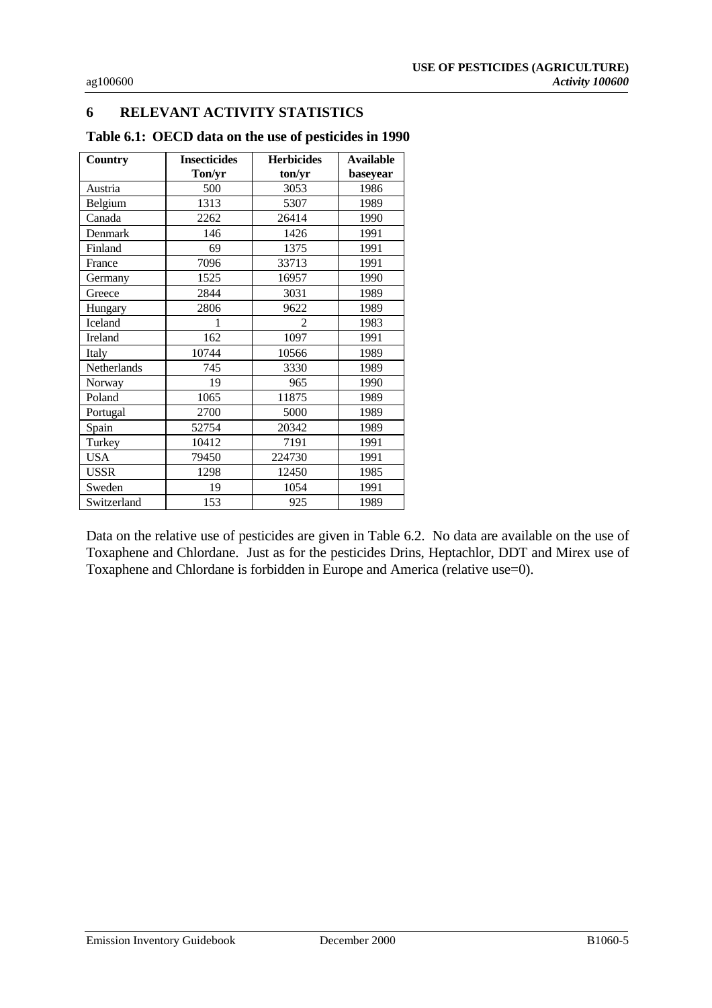## **6 RELEVANT ACTIVITY STATISTICS**

| <b>Country</b> | <b>Insecticides</b><br><b>Herbicides</b> |                | <b>Available</b> |
|----------------|------------------------------------------|----------------|------------------|
|                | Ton/yr                                   | ton/yr         | baseyear         |
| Austria        | 500                                      | 3053           | 1986             |
| Belgium        | 1313                                     | 5307           | 1989             |
| Canada         | 2262                                     | 26414          | 1990             |
| Denmark        | 146                                      | 1426           | 1991             |
| Finland        | 69                                       | 1375           | 1991             |
| France         | 7096                                     | 33713          | 1991             |
| Germany        | 1525                                     | 16957          | 1990             |
| Greece         | 2844                                     | 3031           | 1989             |
| Hungary        | 2806                                     | 9622           | 1989             |
| Iceland        | 1                                        | $\mathfrak{D}$ | 1983             |
| Ireland        | 162                                      | 1097           | 1991             |
| Italy          | 10744                                    | 10566          | 1989             |
| Netherlands    | 745                                      | 3330           | 1989             |
| Norway         | 19                                       | 965            | 1990             |
| Poland         | 1065                                     | 11875          | 1989             |
| Portugal       | 2700                                     | 5000           | 1989             |
| Spain          | 52754                                    | 20342          | 1989             |
| Turkey         | 10412                                    | 7191           | 1991             |
| <b>USA</b>     | 79450                                    | 224730         | 1991             |
| <b>USSR</b>    | 1298                                     | 12450          | 1985             |
| Sweden         | 19                                       | 1054           | 1991             |
| Switzerland    | 153                                      | 925            | 1989             |

Data on the relative use of pesticides are given in Table 6.2. No data are available on the use of Toxaphene and Chlordane. Just as for the pesticides Drins, Heptachlor, DDT and Mirex use of Toxaphene and Chlordane is forbidden in Europe and America (relative use=0).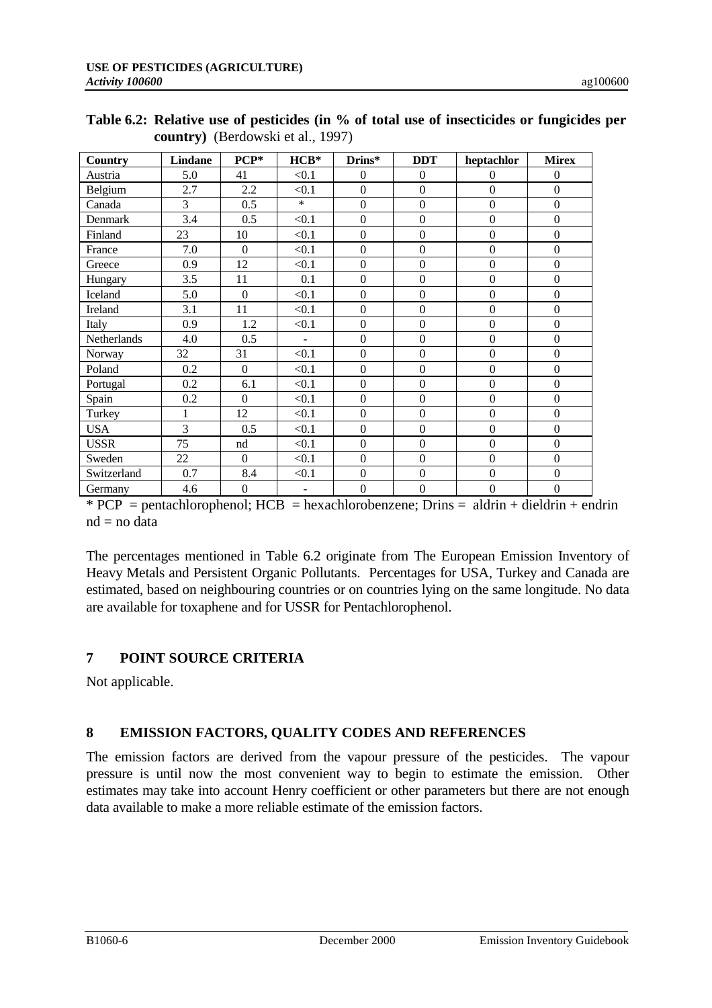| <b>Country</b> | <b>Lindane</b> | $PCP*$           | $HCB*$   | Drins*           | <b>DDT</b>       | heptachlor       | <b>Mirex</b>     |
|----------------|----------------|------------------|----------|------------------|------------------|------------------|------------------|
| Austria        | 5.0            | 41               | < 0.1    | $\overline{0}$   | $\mathbf{0}$     | $\mathbf{0}$     | $\overline{0}$   |
| Belgium        | 2.7            | 2.2              | < 0.1    | $\overline{0}$   | $\overline{0}$   | $\overline{0}$   | $\overline{0}$   |
| Canada         | 3              | 0.5              | $*$      | $\boldsymbol{0}$ | $\boldsymbol{0}$ | $\boldsymbol{0}$ | $\boldsymbol{0}$ |
| Denmark        | 3.4            | 0.5              | < 0.1    | $\boldsymbol{0}$ | $\boldsymbol{0}$ | $\boldsymbol{0}$ | $\boldsymbol{0}$ |
| Finland        | 23             | 10               | < 0.1    | $\theta$         | $\boldsymbol{0}$ | $\boldsymbol{0}$ | $\boldsymbol{0}$ |
| France         | 7.0            | $\mathbf{0}$     | < 0.1    | $\boldsymbol{0}$ | $\boldsymbol{0}$ | $\boldsymbol{0}$ | $\boldsymbol{0}$ |
| Greece         | 0.9            | 12               | < 0.1    | $\Omega$         | $\Omega$         | $\boldsymbol{0}$ | $\Omega$         |
| Hungary        | 3.5            | 11               | 0.1      | $\boldsymbol{0}$ | $\boldsymbol{0}$ | $\boldsymbol{0}$ | $\boldsymbol{0}$ |
| Iceland        | 5.0            | $\Omega$         | < 0.1    | $\overline{0}$   | $\overline{0}$   | $\overline{0}$   | $\overline{0}$   |
| Ireland        | 3.1            | 11               | < 0.1    | $\overline{0}$   | $\boldsymbol{0}$ | $\boldsymbol{0}$ | $\Omega$         |
| Italy          | 0.9            | 1.2              | < 0.1    | $\boldsymbol{0}$ | $\overline{0}$   | $\boldsymbol{0}$ | $\boldsymbol{0}$ |
| Netherlands    | 4.0            | 0.5              | $\equiv$ | $\boldsymbol{0}$ | $\boldsymbol{0}$ | $\boldsymbol{0}$ | $\boldsymbol{0}$ |
| Norway         | 32             | 31               | < 0.1    | $\overline{0}$   | $\overline{0}$   | $\boldsymbol{0}$ | $\boldsymbol{0}$ |
| Poland         | 0.2            | $\mathbf{0}$     | < 0.1    | $\boldsymbol{0}$ | $\boldsymbol{0}$ | $\boldsymbol{0}$ | $\boldsymbol{0}$ |
| Portugal       | 0.2            | 6.1              | < 0.1    | $\overline{0}$   | $\boldsymbol{0}$ | $\overline{0}$   | $\overline{0}$   |
| Spain          | 0.2            | $\Omega$         | < 0.1    | $\boldsymbol{0}$ | $\boldsymbol{0}$ | $\boldsymbol{0}$ | $\boldsymbol{0}$ |
| Turkey         | 1              | 12               | < 0.1    | $\boldsymbol{0}$ | $\boldsymbol{0}$ | $\boldsymbol{0}$ | $\boldsymbol{0}$ |
| <b>USA</b>     | $\overline{3}$ | 0.5              | < 0.1    | $\overline{0}$   | $\boldsymbol{0}$ | $\boldsymbol{0}$ | $\overline{0}$   |
| <b>USSR</b>    | 75             | nd               | < 0.1    | $\mathbf{0}$     | $\boldsymbol{0}$ | $\boldsymbol{0}$ | $\boldsymbol{0}$ |
| Sweden         | 22             | $\Omega$         | < 0.1    | $\overline{0}$   | $\boldsymbol{0}$ | $\boldsymbol{0}$ | $\overline{0}$   |
| Switzerland    | 0.7            | 8.4              | < 0.1    | $\boldsymbol{0}$ | $\boldsymbol{0}$ | $\boldsymbol{0}$ | $\boldsymbol{0}$ |
| Germany        | 4.6            | $\boldsymbol{0}$ | ٠        | $\boldsymbol{0}$ | $\boldsymbol{0}$ | $\boldsymbol{0}$ | $\mathbf{0}$     |

| Table 6.2: Relative use of pesticides (in % of total use of insecticides or fungicides per |
|--------------------------------------------------------------------------------------------|
| <b>country</b> ) (Berdowski et al., 1997)                                                  |

 $*$  PCP = pentachlorophenol; HCB = hexachlorobenzene; Drins = aldrin + dieldrin + endrin  $nd = no data$ 

The percentages mentioned in Table 6.2 originate from The European Emission Inventory of Heavy Metals and Persistent Organic Pollutants. Percentages for USA, Turkey and Canada are estimated, based on neighbouring countries or on countries lying on the same longitude. No data are available for toxaphene and for USSR for Pentachlorophenol.

# **7 POINT SOURCE CRITERIA**

Not applicable.

# **8 EMISSION FACTORS, QUALITY CODES AND REFERENCES**

The emission factors are derived from the vapour pressure of the pesticides. The vapour pressure is until now the most convenient way to begin to estimate the emission. Other estimates may take into account Henry coefficient or other parameters but there are not enough data available to make a more reliable estimate of the emission factors.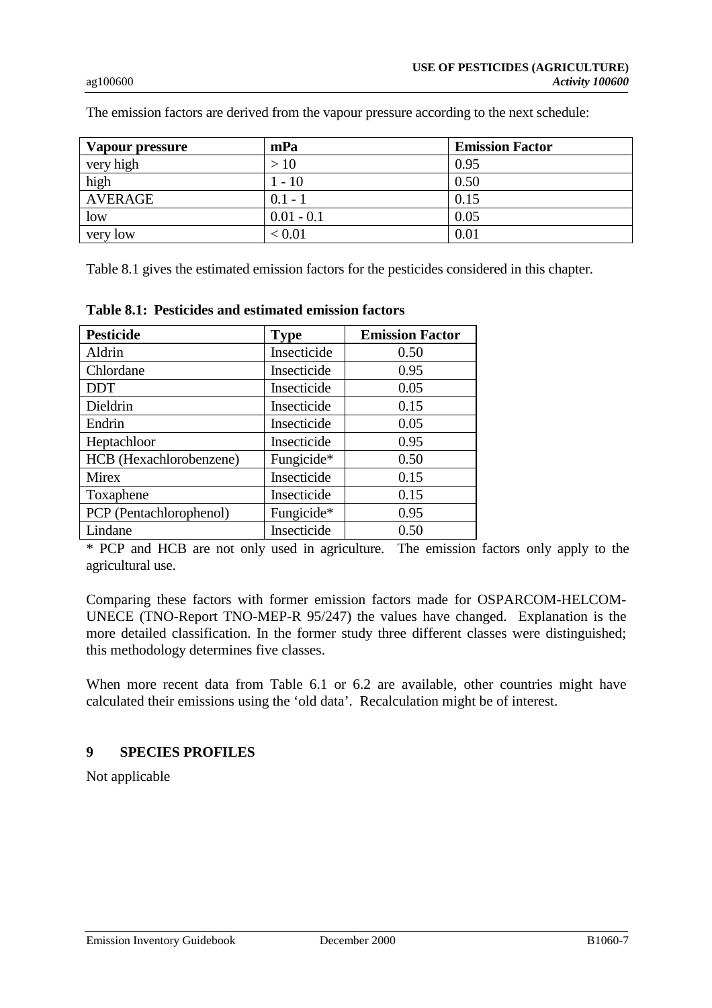| <b>Vapour pressure</b> | mPa          | <b>Emission Factor</b> |
|------------------------|--------------|------------------------|
| very high              | >10          | 0.95                   |
| high                   | $1 - 10$     | 0.50                   |
| <b>AVERAGE</b>         | $0.1 - 1$    | 0.15                   |
| low                    | $0.01 - 0.1$ | 0.05                   |
| very low               | < 0.01       | 0.01                   |

The emission factors are derived from the vapour pressure according to the next schedule:

Table 8.1 gives the estimated emission factors for the pesticides considered in this chapter.

| <b>Pesticide</b>        | <b>Type</b> | <b>Emission Factor</b> |
|-------------------------|-------------|------------------------|
| Aldrin                  | Insecticide | 0.50                   |
| Chlordane               | Insecticide | 0.95                   |
| <b>DDT</b>              | Insecticide | 0.05                   |
| Dieldrin                | Insecticide | 0.15                   |
| Endrin                  | Insecticide | 0.05                   |
| Heptachloor             | Insecticide | 0.95                   |
| HCB (Hexachlorobenzene) | Fungicide*  | 0.50                   |
| <b>Mirex</b>            | Insecticide | 0.15                   |
| Toxaphene               | Insecticide | 0.15                   |
| PCP (Pentachlorophenol) | Fungicide*  | 0.95                   |
| Lindane                 | Insecticide | 0.50                   |

**Table 8.1: Pesticides and estimated emission factors**

\* PCP and HCB are not only used in agriculture. The emission factors only apply to the agricultural use.

Comparing these factors with former emission factors made for OSPARCOM-HELCOM-UNECE (TNO-Report TNO-MEP-R 95/247) the values have changed. Explanation is the more detailed classification. In the former study three different classes were distinguished; this methodology determines five classes.

When more recent data from Table 6.1 or 6.2 are available, other countries might have calculated their emissions using the 'old data'. Recalculation might be of interest.

## **9 SPECIES PROFILES**

Not applicable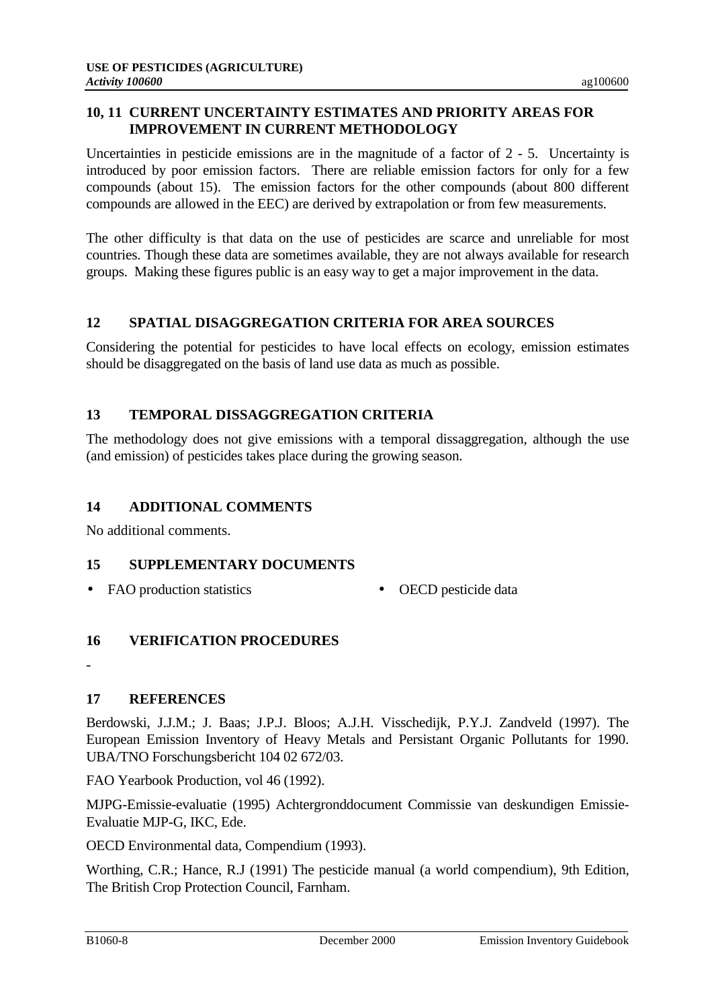Uncertainties in pesticide emissions are in the magnitude of a factor of  $2 - 5$ . Uncertainty is introduced by poor emission factors. There are reliable emission factors for only for a few compounds (about 15). The emission factors for the other compounds (about 800 different compounds are allowed in the EEC) are derived by extrapolation or from few measurements.

The other difficulty is that data on the use of pesticides are scarce and unreliable for most countries. Though these data are sometimes available, they are not always available for research groups. Making these figures public is an easy way to get a major improvement in the data.

## **12 SPATIAL DISAGGREGATION CRITERIA FOR AREA SOURCES**

Considering the potential for pesticides to have local effects on ecology, emission estimates should be disaggregated on the basis of land use data as much as possible.

## **13 TEMPORAL DISSAGGREGATION CRITERIA**

The methodology does not give emissions with a temporal dissaggregation, although the use (and emission) of pesticides takes place during the growing season.

## **14 ADDITIONAL COMMENTS**

No additional comments.

## **15 SUPPLEMENTARY DOCUMENTS**

- FAO production statistics OECD pesticide data
- 

## **16 VERIFICATION PROCEDURES**

-

# **17 REFERENCES**

Berdowski, J.J.M.; J. Baas; J.P.J. Bloos; A.J.H. Visschedijk, P.Y.J. Zandveld (1997). The European Emission Inventory of Heavy Metals and Persistant Organic Pollutants for 1990. UBA/TNO Forschungsbericht 104 02 672/03.

FAO Yearbook Production, vol 46 (1992).

MJPG-Emissie-evaluatie (1995) Achtergronddocument Commissie van deskundigen Emissie-Evaluatie MJP-G, IKC, Ede.

OECD Environmental data, Compendium (1993).

Worthing, C.R.; Hance, R.J (1991) The pesticide manual (a world compendium), 9th Edition, The British Crop Protection Council, Farnham.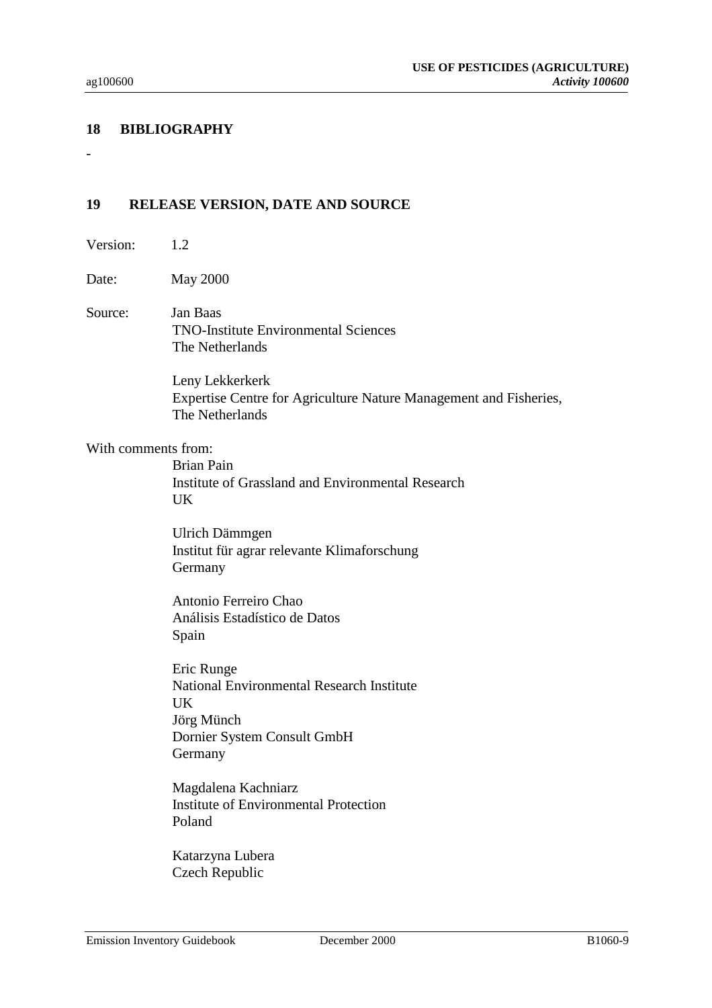### **18 BIBLIOGRAPHY**

### **19 RELEASE VERSION, DATE AND SOURCE**

Version: 12

Date: May 2000

Source: Jan Baas TNO-Institute Environmental Sciences The Netherlands

> Leny Lekkerkerk Expertise Centre for Agriculture Nature Management and Fisheries, The Netherlands

#### With comments from:

Brian Pain Institute of Grassland and Environmental Research UK

Ulrich Dämmgen Institut für agrar relevante Klimaforschung Germany

Antonio Ferreiro Chao Análisis Estadístico de Datos Spain

Eric Runge National Environmental Research Institute **UK** Jörg Münch Dornier System Consult GmbH **Germany** 

Magdalena Kachniarz Institute of Environmental Protection Poland

Katarzyna Lubera Czech Republic